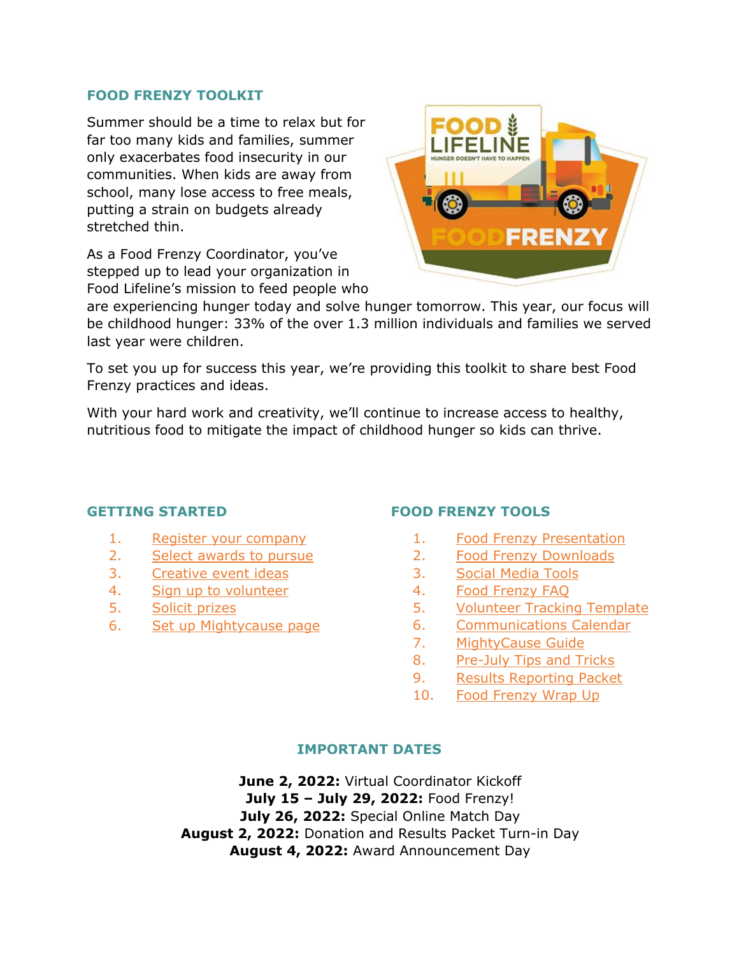## **FOOD FRENZY TOOLKIT**

Summer should be a time to relax but for far too many kids and families, summer only exacerbates food insecurity in our communities. When kids are away from school, many lose access to free meals, putting a strain on budgets already stretched thin.

As a Food Frenzy Coordinator, you've stepped up to lead your organization in Food Lifeline's mission to feed people who



are experiencing hunger today and solve hunger tomorrow. This year, our focus will be childhood hunger: 33% of the over 1.3 million individuals and families we served last year were children.

To set you up for success this year, we're providing this toolkit to share best Food Frenzy practices and ideas.

With your hard work and creativity, we'll continue to increase access to healthy, nutritious food to mitigate the impact of childhood hunger so kids can thrive.

### **GETTING STARTED**

- 1. [Register your company](https://app.smartsheet.com/b/form/2197d1a09ca346acb7ae4e146f15677a)
- 2. [Select awards to pursue](#page-1-0)
- 3. [Creative event ideas](#page-1-1)
- 4. [Sign up to volunteer](https://foodlifeline.org/volunteer/)
- 5. [Solicit prizes](https://foodlifeline.org/wp-content/uploads/2022/05/Food-Frenzy-In-kind-Donation-Form-2022.pdf)
- 6. [Set up Mightycause page](https://www.mightycause.com/event/Food-Frenzy-2022)

# **FOOD FRENZY TOOLS**

- 1. [Food Frenzy Presentation](#page-2-0)
- 2. [Food Frenzy Downloads](#page-2-1)
- 3. [Social Media Tools](https://foodlifeline.org/wp-content/uploads/2022/05/Food-Frenzy-Social-Media-Tools.docx)
- 4. [Food Frenzy FAQ](https://foodlifeline.org/wp-content/uploads/2022/05/FAQ-Food-Frenzy-PDF.pdf)
- 5. [Volunteer Tracking Template](https://foodlifeline.org/wp-content/uploads/2022/05/FF22VolunteerTracker_Template.xlsx)
- 6. [Communications Calendar](https://foodlifeline.org/wp-content/uploads/2022/05/Food-Frenzy-2022-Coordinator-Communications-Calendar.docx)
- 7. [MightyCause Guide](https://foodlifeline.org/wp-content/uploads/2022/05/Mightycause-Quick-Start-Guide.pdf)
- 8. [Pre-July Tips and Tricks](https://foodlifeline.org/wp-content/uploads/2022/05/Tips-for-a-Successful-food-Frenzy-Campaign-1.pdf)
- 9. [Results Reporting Packet](https://app.smartsheet.com/b/form/702435aa378c4f8c9dcacaf752702c20)
- 10. [Food Frenzy Wrap Up](#page-3-0)

## **IMPORTANT DATES**

**June 2, 2022:** Virtual Coordinator Kickoff **July 15 – July 29, 2022:** Food Frenzy! **July 26, 2022:** Special Online Match Day **August 2, 2022:** Donation and Results Packet Turn-in Day **August 4, 2022:** Award Announcement Day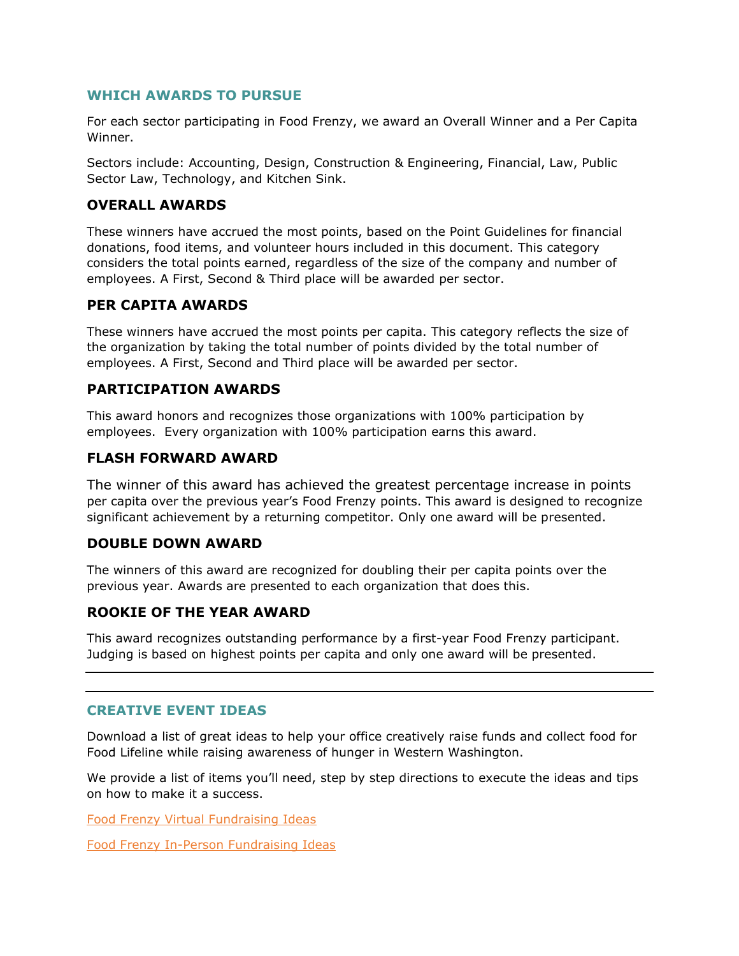### <span id="page-1-0"></span>**WHICH AWARDS TO PURSUE**

For each sector participating in Food Frenzy, we award an Overall Winner and a Per Capita Winner.

Sectors include: Accounting, Design, Construction & Engineering, Financial, Law, Public Sector Law, Technology, and Kitchen Sink.

#### **OVERALL AWARDS**

These winners have accrued the most points, based on the Point Guidelines for financial donations, food items, and volunteer hours included in this document. This category considers the total points earned, regardless of the size of the company and number of employees. A First, Second & Third place will be awarded per sector.

### **PER CAPITA AWARDS**

These winners have accrued the most points per capita. This category reflects the size of the organization by taking the total number of points divided by the total number of employees. A First, Second and Third place will be awarded per sector.

### **PARTICIPATION AWARDS**

This award honors and recognizes those organizations with 100% participation by employees. Every organization with 100% participation earns this award.

### **FLASH FORWARD AWARD**

The winner of this award has achieved the greatest percentage increase in points per capita over the previous year's Food Frenzy points. This award is designed to recognize significant achievement by a returning competitor. Only one award will be presented.

### **DOUBLE DOWN AWARD**

The winners of this award are recognized for doubling their per capita points over the previous year. Awards are presented to each organization that does this.

## **ROOKIE OF THE YEAR AWARD**

This award recognizes outstanding performance by a first-year Food Frenzy participant. Judging is based on highest points per capita and only one award will be presented.

#### <span id="page-1-1"></span>**CREATIVE EVENT IDEAS**

Download a list of great ideas to help your office creatively raise funds and collect food for Food Lifeline while raising awareness of hunger in Western Washington.

We provide a list of items you'll need, step by step directions to execute the ideas and tips on how to make it a success.

[Food Frenzy Virtual Fundraising Ideas](https://foodlifeline.org/wp-content/uploads/2021/06/Virtual-Event-Ideas-for-Food-Frenzy-2021.pdf)

[Food Frenzy In-Person Fundraising Ideas](https://foodlifeline.org/wp-content/uploads/2021/06/In-Person-Food-Frenzy-Activity-Ideas-2021.pdf)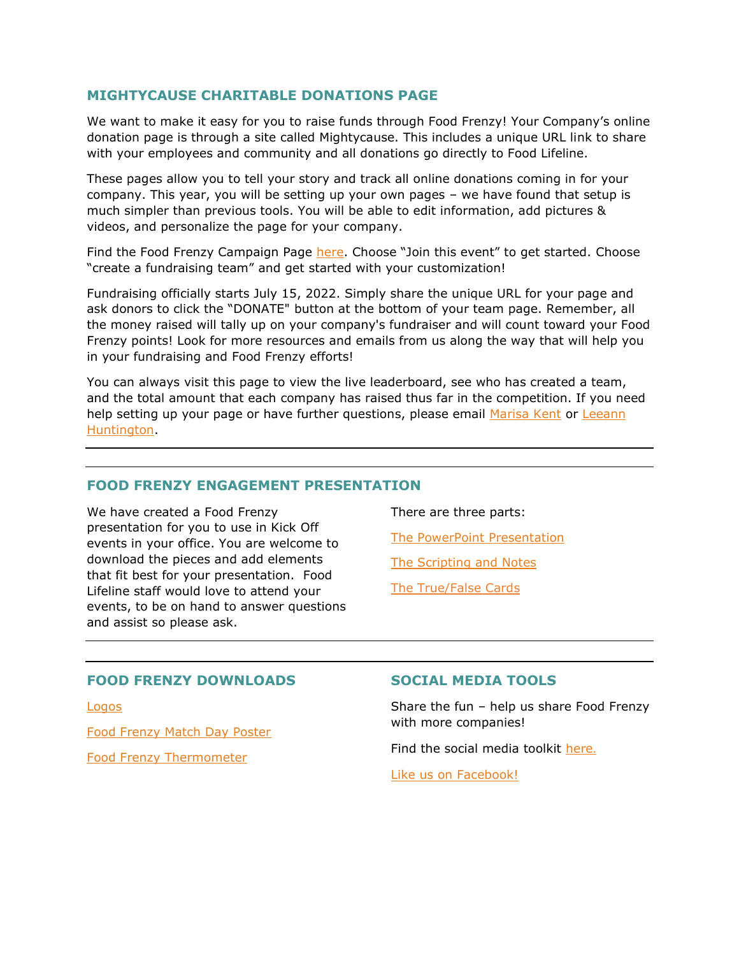## **MIGHTYCAUSE CHARITABLE DONATIONS PAGE**

We want to make it easy for you to raise funds through Food Frenzy! Your Company's online donation page is through a site called Mightycause. This includes a unique URL link to share with your employees and community and all donations go directly to Food Lifeline.

These pages allow you to tell your story and track all online donations coming in for your company. This year, you will be setting up your own pages – we have found that setup is much simpler than previous tools. You will be able to edit information, add pictures & videos, and personalize the page for your company.

Find the Food Frenzy Campaign Page [here.](https://www.mightycause.com/event/Food-Frenzy-2022) Choose "Join this event" to get started. Choose "create a fundraising team" and get started with your customization!

Fundraising officially starts July 15, 2022. Simply share the unique URL for your page and ask donors to click the "DONATE" button at the bottom of your team page. Remember, all the money raised will tally up on your company's fundraiser and will count toward your Food Frenzy points! Look for more resources and emails from us along the way that will help you in your fundraising and Food Frenzy efforts!

You can always visit this page to view the live leaderboard, see who has created a team, and the total amount that each company has raised thus far in the competition. If you need help setting up your page or have further questions, please email [Marisa Kent](mailto:MARISAK@FOODLIFELINE.ORG) or Leeann [Huntington.](mailto:LEEANNH@FOODLIFELINE.ORG)

#### <span id="page-2-0"></span>**FOOD FRENZY ENGAGEMENT PRESENTATION**

We have created a Food Frenzy presentation for you to use in Kick Off events in your office. You are welcome to download the pieces and add elements that fit best for your presentation. Food Lifeline staff would love to attend your events, to be on hand to answer questions and assist so please ask.

There are three parts:

[The PowerPoint Presentation](https://foodlifeline.org/wp-content/uploads/2022/06/Food-Frenzy-Coordinator-Kickoff-Presentation-2022.pptx)

[The Scripting and Notes](https://foodlifeline.org/wp-content/uploads/2022/06/Food_Frenzy_Coordinator-Kickoff-Presentation_Script-2022.pdf) 

[The True/False Cards](https://foodlifeline.org/wp-content/uploads/2022/05/2022_true_false_card.docx)

#### <span id="page-2-1"></span>**FOOD FRENZY DOWNLOADS**

[Logos](https://foodlifeline.org/wp-content/uploads/2021/06/Food-Frenzy-and-Food-Lifeline-logos-2021.docx)

[Food Frenzy Match Day Poster](https://foodlifeline.org/wp-content/uploads/2022/05/Food_Frenzy_Match_Day_2022.png)

[Food Frenzy Thermometer](https://foodlifeline.org/wp-content/uploads/2022/05/Thermometer.jpg.png) 

#### **SOCIAL MEDIA TOOLS**

Share the fun – help us share Food Frenzy with more companies!

Find the social media toolkit [here](https://foodlifeline.org/wp-content/uploads/2022/05/Food-Frenzy-Social-Media-Tools.docx).

[Like us on Facebook!](https://www.facebook.com/Food-Frenzy-611970398980139/)